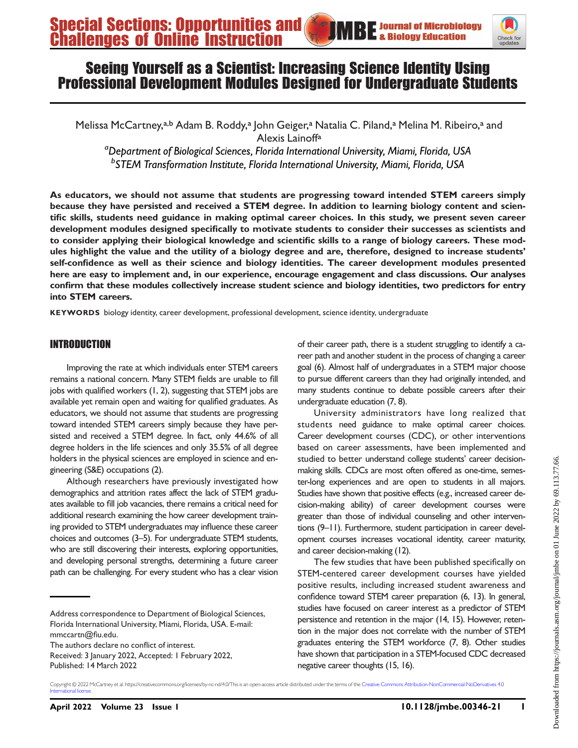

# Seeing Yourself as a Scientist: Increasing Science Identity Using Professional Development Modules Designed for Undergraduate Students

Melissa McCartney,<sup>a,b</sup> Adam B. Roddy,<sup>a</sup> John Geiger,<sup>a</sup> Natalia C. Piland,<sup>a</sup> Melina M. Ribeiro,<sup>a</sup> and Alexis Lainoffa

<sup>a</sup>Department of Biological Sciences, Florida International University, Miami, Florida, USA <sup>b</sup>STEM Transformation Institute, Florida International University, Miami, Florida, USA

As educators, we should not assume that students are progressing toward intended STEM careers simply because they have persisted and received a STEM degree. In addition to learning biology content and scientific skills, students need guidance in making optimal career choices. In this study, we present seven career development modules designed specifically to motivate students to consider their successes as scientists and to consider applying their biological knowledge and scientific skills to a range of biology careers. These modules highlight the value and the utility of a biology degree and are, therefore, designed to increase students' self-confidence as well as their science and biology identities. The career development modules presented here are easy to implement and, in our experience, encourage engagement and class discussions. Our analyses confirm that these modules collectively increase student science and biology identities, two predictors for entry into STEM careers.

KEYWORDS biology identity, career development, professional development, science identity, undergraduate

# INTRODUCTION

Improving the rate at which individuals enter STEM careers remains a national concern. Many STEM fields are unable to fill jobs with qualified workers [\(1,](#page-6-0) [2\)](#page-6-1), suggesting that STEM jobs are available yet remain open and waiting for qualified graduates. As educators, we should not assume that students are progressing toward intended STEM careers simply because they have persisted and received a STEM degree. In fact, only 44.6% of all degree holders in the life sciences and only 35.5% of all degree holders in the physical sciences are employed in science and engineering (S&E) occupations [\(2](#page-6-1)).

Although researchers have previously investigated how demographics and attrition rates affect the lack of STEM graduates available to fill job vacancies, there remains a critical need for additional research examining the how career development training provided to STEM undergraduates may influence these career choices and outcomes [\(3](#page-6-2)[–](#page-6-3)[5](#page-6-4)). For undergraduate STEM students, who are still discovering their interests, exploring opportunities, and developing personal strengths, determining a future career path can be challenging. For every student who has a clear vision

Address correspondence to Department of Biological Sciences, Florida International University, Miami, Florida, USA. E-mail: [mmccartn@](mailto:mmccartn@fiu.edu)fiu.edu.

The authors declare no conflict of interest.

Received: 3 January 2022, Accepted: 1 February 2022, Published: 14 March 2022

of their career path, there is a student struggling to identify a career path and another student in the process of changing a career goal [\(6](#page-6-5)). Almost half of undergraduates in a STEM major choose to pursue different careers than they had originally intended, and many students continue to debate possible careers after their undergraduate education [\(7,](#page-6-6) [8](#page-6-7)).

University administrators have long realized that students need guidance to make optimal career choices. Career development courses (CDC), or other interventions based on career assessments, have been implemented and studied to better understand college students' career decisionmaking skills. CDCs are most often offered as one-time, semester-long experiences and are open to students in all majors. Studies have shown that positive effects (e.g., increased career decision-making ability) of career development courses were greater than those of individual counseling and other interventions [\(9](#page-6-8)[–](#page-6-9)[11\)](#page-6-10). Furthermore, student participation in career development courses increases vocational identity, career maturity, and career decision-making [\(12](#page-6-11)).

The few studies that have been published specifically on STEM-centered career development courses have yielded positive results, including increased student awareness and confidence toward STEM career preparation [\(6,](#page-6-5) [13](#page-6-12)). In general, studies have focused on career interest as a predictor of STEM persistence and retention in the major ([14,](#page-6-13) [15\)](#page-6-14). However, retention in the major does not correlate with the number of STEM graduates entering the STEM workforce [\(7](#page-6-6), [8](#page-6-7)). Other studies have shown that participation in a STEM-focused CDC decreased negative career thoughts [\(15,](#page-6-14) [16](#page-6-15)).

Copyright © 2022 McCartney et al. https://creativecommons.org/licenses/by-nc-nd/4.0/This is an open-access article distributed under the terms of the [Creative Commons Attribution-NonCommercial-NoDerivatives 4.0](https://creativecommons.org/licenses/by-nc-nd/4.0/) International licens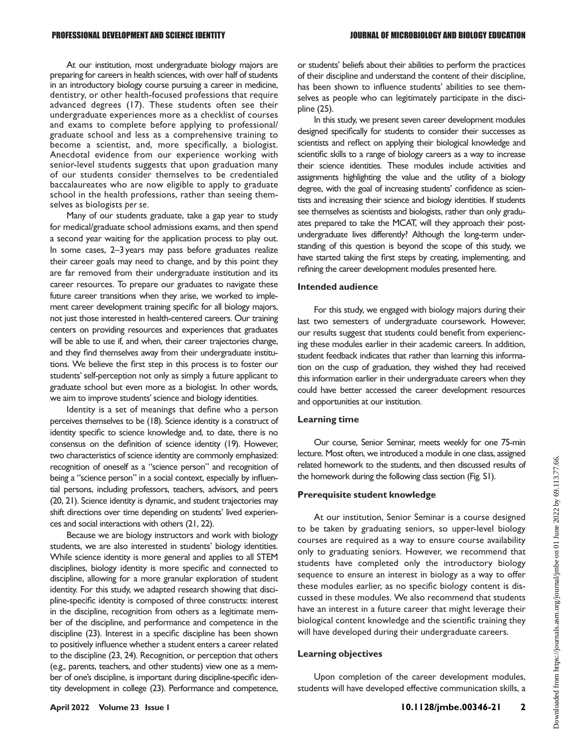At our institution, most undergraduate biology majors are preparing for careers in health sciences, with over half of students in an introductory biology course pursuing a career in medicine, dentistry, or other health-focused professions that require advanced degrees [\(17](#page-7-0)). These students often see their undergraduate experiences more as a checklist of courses and exams to complete before applying to professional/ graduate school and less as a comprehensive training to become a scientist, and, more specifically, a biologist. Anecdotal evidence from our experience working with senior-level students suggests that upon graduation many of our students consider themselves to be credentialed baccalaureates who are now eligible to apply to graduate school in the health professions, rather than seeing themselves as biologists per se.

Many of our students graduate, take a gap year to study for medical/graduate school admissions exams, and then spend a second year waiting for the application process to play out. In some cases, 2–3 years may pass before graduates realize their career goals may need to change, and by this point they are far removed from their undergraduate institution and its career resources. To prepare our graduates to navigate these future career transitions when they arise, we worked to implement career development training specific for all biology majors, not just those interested in health-centered careers. Our training centers on providing resources and experiences that graduates will be able to use if, and when, their career trajectories change, and they find themselves away from their undergraduate institutions. We believe the first step in this process is to foster our students' self-perception not only as simply a future applicant to graduate school but even more as a biologist. In other words, we aim to improve students'science and biology identities.

Identity is a set of meanings that define who a person perceives themselves to be [\(18\)](#page-7-1). Science identity is a construct of identity specific to science knowledge and, to date, there is no consensus on the definition of science identity [\(19\)](#page-7-2). However, two characteristics of science identity are commonly emphasized: recognition of oneself as a "science person" and recognition of being a "science person" in a social context, especially by influential persons, including professors, teachers, advisors, and peers [\(20](#page-7-3), [21\)](#page-7-4). Science identity is dynamic, and student trajectories may shift directions over time depending on students' lived experiences and social interactions with others [\(21,](#page-7-4) [22](#page-7-5)).

Because we are biology instructors and work with biology students, we are also interested in students' biology identities. While science identity is more general and applies to all STEM disciplines, biology identity is more specific and connected to discipline, allowing for a more granular exploration of student identity. For this study, we adapted research showing that discipline-specific identity is composed of three constructs: interest in the discipline, recognition from others as a legitimate member of the discipline, and performance and competence in the discipline ([23](#page-7-6)). Interest in a specific discipline has been shown to positively influence whether a student enters a career related to the discipline [\(23](#page-7-6), [24](#page-7-7)). Recognition, or perception that others (e.g., parents, teachers, and other students) view one as a member of one's discipline, is important during discipline-specific identity development in college ([23\)](#page-7-6). Performance and competence, or students' beliefs about their abilities to perform the practices of their discipline and understand the content of their discipline, has been shown to influence students' abilities to see themselves as people who can legitimately participate in the discipline [\(25\)](#page-7-8).

In this study, we present seven career development modules designed specifically for students to consider their successes as scientists and reflect on applying their biological knowledge and scientific skills to a range of biology careers as a way to increase their science identities. These modules include activities and assignments highlighting the value and the utility of a biology degree, with the goal of increasing students' confidence as scientists and increasing their science and biology identities. If students see themselves as scientists and biologists, rather than only graduates prepared to take the MCAT, will they approach their postundergraduate lives differently? Although the long-term understanding of this question is beyond the scope of this study, we have started taking the first steps by creating, implementing, and refining the career development modules presented here.

#### Intended audience

For this study, we engaged with biology majors during their last two semesters of undergraduate coursework. However, our results suggest that students could benefit from experiencing these modules earlier in their academic careers. In addition, student feedback indicates that rather than learning this information on the cusp of graduation, they wished they had received this information earlier in their undergraduate careers when they could have better accessed the career development resources and opportunities at our institution.

#### Learning time

Our course, Senior Seminar, meets weekly for one 75-min lecture. Most often, we introduced a module in one class, assigned related homework to the students, and then discussed results of the homework during the following class section (Fig. S1).

#### Prerequisite student knowledge

At our institution, Senior Seminar is a course designed to be taken by graduating seniors, so upper-level biology courses are required as a way to ensure course availability only to graduating seniors. However, we recommend that students have completed only the introductory biology sequence to ensure an interest in biology as a way to offer these modules earlier, as no specific biology content is discussed in these modules. We also recommend that students have an interest in a future career that might leverage their biological content knowledge and the scientific training they will have developed during their undergraduate careers.

#### Learning objectives

Upon completion of the career development modules, students will have developed effective communication skills, a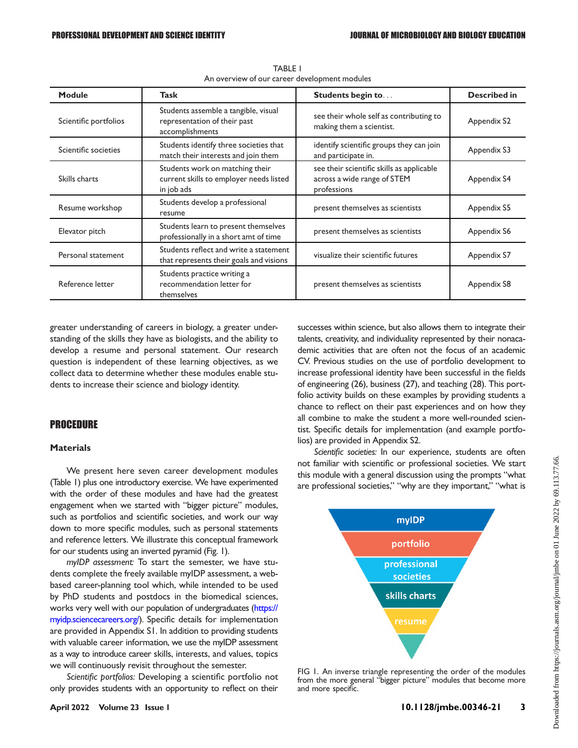<span id="page-2-0"></span>

| Module                | Task                                                                                     | <b>Students begin to</b>                                                                | <b>Described in</b> |
|-----------------------|------------------------------------------------------------------------------------------|-----------------------------------------------------------------------------------------|---------------------|
| Scientific portfolios | Students assemble a tangible, visual<br>representation of their past<br>accomplishments  | see their whole self as contributing to<br>making them a scientist.                     | Appendix S2         |
| Scientific societies  | Students identify three societies that<br>match their interests and join them            | identify scientific groups they can join<br>and participate in.                         | Appendix S3         |
| Skills charts         | Students work on matching their<br>current skills to employer needs listed<br>in job ads | see their scientific skills as applicable<br>across a wide range of STEM<br>professions | Appendix S4         |
| Resume workshop       | Students develop a professional<br>resume                                                | present themselves as scientists                                                        | Appendix S5         |
| Elevator pitch        | Students learn to present themselves<br>professionally in a short amt of time            | present themselves as scientists                                                        | Appendix S6         |
| Personal statement    | Students reflect and write a statement<br>that represents their goals and visions        | visualize their scientific futures                                                      | Appendix S7         |
| Reference letter      | Students practice writing a<br>recommendation letter for<br>themselves                   | present themselves as scientists                                                        | Appendix S8         |

TABLE 1 An overview of our career development modules

greater understanding of careers in biology, a greater understanding of the skills they have as biologists, and the ability to develop a resume and personal statement. Our research question is independent of these learning objectives, as we collect data to determine whether these modules enable students to increase their science and biology identity.

# PROCEDURE

#### **Materials**

We present here seven career development modules [\(Table 1](#page-2-0)) plus one introductory exercise. We have experimented with the order of these modules and have had the greatest engagement when we started with "bigger picture" modules, such as portfolios and scientific societies, and work our way down to more specific modules, such as personal statements and reference letters. We illustrate this conceptual framework for our students using an inverted pyramid [\(Fig. 1](#page-2-1)).

myIDP assessment: To start the semester, we have students complete the freely available myIDP assessment, a webbased career-planning tool which, while intended to be used by PhD students and postdocs in the biomedical sciences, works very well with our population of undergraduates [\(https://](https://myidp.sciencecareers.org/) myidp.sciencecareers.org). Specific details for implementation are provided in Appendix S1. In addition to providing students with valuable career information, we use the myIDP assessment as a way to introduce career skills, interests, and values, topics we will continuously revisit throughout the semester.

Scientific portfolios: Developing a scientific portfolio not only provides students with an opportunity to reflect on their successes within science, but also allows them to integrate their talents, creativity, and individuality represented by their nonacademic activities that are often not the focus of an academic CV. Previous studies on the use of portfolio development to increase professional identity have been successful in the fields of engineering [\(26\)](#page-7-9), business [\(27](#page-7-10)), and teaching ([28](#page-7-11)). This portfolio activity builds on these examples by providing students a chance to reflect on their past experiences and on how they all combine to make the student a more well-rounded scientist. Specific details for implementation (and example portfolios) are provided in Appendix S2.

Scientific societies: In our experience, students are often not familiar with scientific or professional societies. We start this module with a general discussion using the prompts "what are professional societies," "why are they important," "what is



<span id="page-2-1"></span>FIG 1. An inverse triangle representing the order of the modules from the more general "bigger picture" modules that become more and more specific.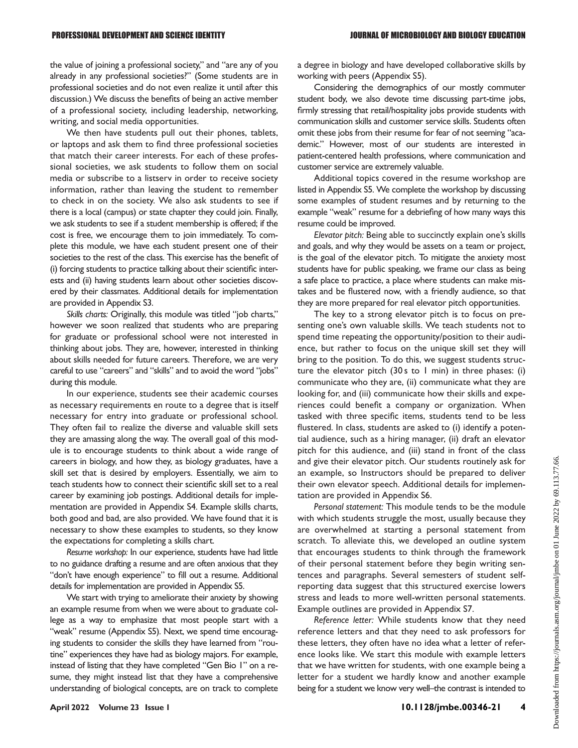the value of joining a professional society," and "are any of you already in any professional societies?" (Some students are in professional societies and do not even realize it until after this discussion.) We discuss the benefits of being an active member of a professional society, including leadership, networking, writing, and social media opportunities.

We then have students pull out their phones, tablets, or laptops and ask them to find three professional societies that match their career interests. For each of these professional societies, we ask students to follow them on social media or subscribe to a listserv in order to receive society information, rather than leaving the student to remember to check in on the society. We also ask students to see if there is a local (campus) or state chapter they could join. Finally, we ask students to see if a student membership is offered; if the cost is free, we encourage them to join immediately. To complete this module, we have each student present one of their societies to the rest of the class. This exercise has the benefit of (i) forcing students to practice talking about their scientific interests and (ii) having students learn about other societies discovered by their classmates. Additional details for implementation are provided in Appendix S3.

Skills charts: Originally, this module was titled "job charts," however we soon realized that students who are preparing for graduate or professional school were not interested in thinking about jobs. They are, however, interested in thinking about skills needed for future careers. Therefore, we are very careful to use "careers" and "skills" and to avoid the word "jobs" during this module.

In our experience, students see their academic courses as necessary requirements en route to a degree that is itself necessary for entry into graduate or professional school. They often fail to realize the diverse and valuable skill sets they are amassing along the way. The overall goal of this module is to encourage students to think about a wide range of careers in biology, and how they, as biology graduates, have a skill set that is desired by employers. Essentially, we aim to teach students how to connect their scientific skill set to a real career by examining job postings. Additional details for implementation are provided in Appendix S4. Example skills charts, both good and bad, are also provided. We have found that it is necessary to show these examples to students, so they know the expectations for completing a skills chart.

Resume workshop: In our experience, students have had little to no guidance drafting a resume and are often anxious that they "don't have enough experience" to fill out a resume. Additional details for implementation are provided in Appendix S5.

We start with trying to ameliorate their anxiety by showing an example resume from when we were about to graduate college as a way to emphasize that most people start with a "weak" resume (Appendix S5). Next, we spend time encouraging students to consider the skills they have learned from "routine" experiences they have had as biology majors. For example, instead of listing that they have completed "Gen Bio 1" on a resume, they might instead list that they have a comprehensive understanding of biological concepts, are on track to complete a degree in biology and have developed collaborative skills by working with peers (Appendix S5).

Considering the demographics of our mostly commuter student body, we also devote time discussing part-time jobs, firmly stressing that retail/hospitality jobs provide students with communication skills and customer service skills. Students often omit these jobs from their resume for fear of not seeming "academic." However, most of our students are interested in patient-centered health professions, where communication and customer service are extremely valuable.

Additional topics covered in the resume workshop are listed in Appendix S5. We complete the workshop by discussing some examples of student resumes and by returning to the example "weak" resume for a debriefing of how many ways this resume could be improved.

Elevator pitch: Being able to succinctly explain one's skills and goals, and why they would be assets on a team or project, is the goal of the elevator pitch. To mitigate the anxiety most students have for public speaking, we frame our class as being a safe place to practice, a place where students can make mistakes and be flustered now, with a friendly audience, so that they are more prepared for real elevator pitch opportunities.

The key to a strong elevator pitch is to focus on presenting one's own valuable skills. We teach students not to spend time repeating the opportunity/position to their audience, but rather to focus on the unique skill set they will bring to the position. To do this, we suggest students structure the elevator pitch  $(30 s to 1 min)$  in three phases:  $(i)$ communicate who they are, (ii) communicate what they are looking for, and (iii) communicate how their skills and experiences could benefit a company or organization. When tasked with three specific items, students tend to be less flustered. In class, students are asked to (i) identify a potential audience, such as a hiring manager, (ii) draft an elevator pitch for this audience, and (iii) stand in front of the class and give their elevator pitch. Our students routinely ask for an example, so Instructors should be prepared to deliver their own elevator speech. Additional details for implementation are provided in Appendix S6.

Personal statement: This module tends to be the module with which students struggle the most, usually because they are overwhelmed at starting a personal statement from scratch. To alleviate this, we developed an outline system that encourages students to think through the framework of their personal statement before they begin writing sentences and paragraphs. Several semesters of student selfreporting data suggest that this structured exercise lowers stress and leads to more well-written personal statements. Example outlines are provided in Appendix S7.

Reference letter: While students know that they need reference letters and that they need to ask professors for these letters, they often have no idea what a letter of reference looks like. We start this module with example letters that we have written for students, with one example being a letter for a student we hardly know and another example being for a student we know very well–the contrast is intended to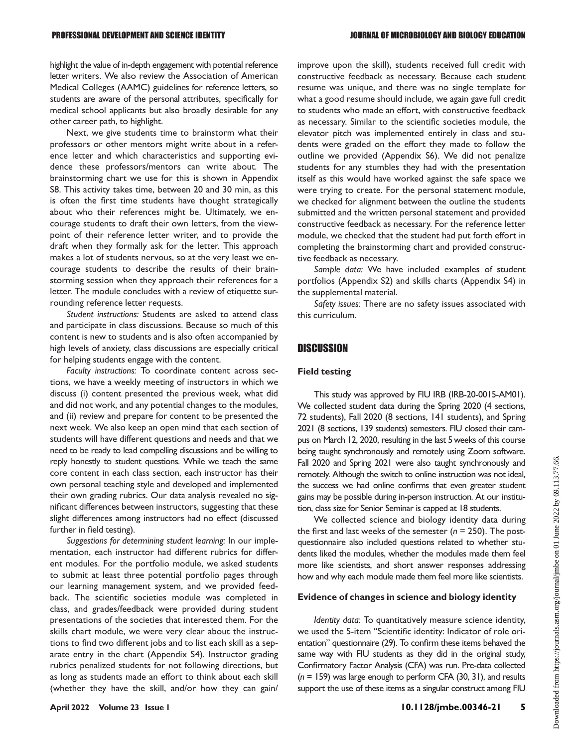highlight the value of in-depth engagement with potential reference letter writers. We also review the Association of American Medical Colleges (AAMC) guidelines for reference letters, so students are aware of the personal attributes, specifically for medical school applicants but also broadly desirable for any other career path, to highlight.

Next, we give students time to brainstorm what their professors or other mentors might write about in a reference letter and which characteristics and supporting evidence these professors/mentors can write about. The brainstorming chart we use for this is shown in Appendix S8. This activity takes time, between 20 and 30 min, as this is often the first time students have thought strategically about who their references might be. Ultimately, we encourage students to draft their own letters, from the viewpoint of their reference letter writer, and to provide the draft when they formally ask for the letter. This approach makes a lot of students nervous, so at the very least we encourage students to describe the results of their brainstorming session when they approach their references for a letter. The module concludes with a review of etiquette surrounding reference letter requests.

Student instructions: Students are asked to attend class and participate in class discussions. Because so much of this content is new to students and is also often accompanied by high levels of anxiety, class discussions are especially critical for helping students engage with the content.

Faculty instructions: To coordinate content across sections, we have a weekly meeting of instructors in which we discuss (i) content presented the previous week, what did and did not work, and any potential changes to the modules, and (ii) review and prepare for content to be presented the next week. We also keep an open mind that each section of students will have different questions and needs and that we need to be ready to lead compelling discussions and be willing to reply honestly to student questions. While we teach the same core content in each class section, each instructor has their own personal teaching style and developed and implemented their own grading rubrics. Our data analysis revealed no significant differences between instructors, suggesting that these slight differences among instructors had no effect (discussed further in field testing).

Suggestions for determining student learning: In our implementation, each instructor had different rubrics for different modules. For the portfolio module, we asked students to submit at least three potential portfolio pages through our learning management system, and we provided feedback. The scientific societies module was completed in class, and grades/feedback were provided during student presentations of the societies that interested them. For the skills chart module, we were very clear about the instructions to find two different jobs and to list each skill as a separate entry in the chart (Appendix S4). Instructor grading rubrics penalized students for not following directions, but as long as students made an effort to think about each skill (whether they have the skill, and/or how they can gain/ improve upon the skill), students received full credit with constructive feedback as necessary. Because each student resume was unique, and there was no single template for what a good resume should include, we again gave full credit to students who made an effort, with constructive feedback as necessary. Similar to the scientific societies module, the elevator pitch was implemented entirely in class and students were graded on the effort they made to follow the outline we provided (Appendix S6). We did not penalize students for any stumbles they had with the presentation itself as this would have worked against the safe space we were trying to create. For the personal statement module, we checked for alignment between the outline the students submitted and the written personal statement and provided constructive feedback as necessary. For the reference letter module, we checked that the student had put forth effort in completing the brainstorming chart and provided constructive feedback as necessary.

Sample data: We have included examples of student portfolios (Appendix S2) and skills charts (Appendix S4) in the supplemental material.

Safety issues: There are no safety issues associated with this curriculum.

# **DISCUSSION**

### Field testing

This study was approved by FIU IRB (IRB-20-0015-AM01). We collected student data during the Spring 2020 (4 sections, 72 students), Fall 2020 (8 sections, 141 students), and Spring 2021 (8 sections, 139 students) semesters. FIU closed their campus on March 12, 2020, resulting in the last 5 weeks of this course being taught synchronously and remotely using Zoom software. Fall 2020 and Spring 2021 were also taught synchronously and remotely. Although the switch to online instruction was not ideal, the success we had online confirms that even greater student gains may be possible during in-person instruction. At our institution, class size for Senior Seminar is capped at 18 students.

We collected science and biology identity data during the first and last weeks of the semester ( $n = 250$ ). The postquestionnaire also included questions related to whether students liked the modules, whether the modules made them feel more like scientists, and short answer responses addressing how and why each module made them feel more like scientists.

### Evidence of changes in science and biology identity

Identity data: To quantitatively measure science identity, we used the 5-item "Scientific identity: Indicator of role orientation" questionnaire [\(29](#page-7-12)). To confirm these items behaved the same way with FIU students as they did in the original study, Confirmatory Factor Analysis (CFA) was run. Pre-data collected  $(n = 159)$  was large enough to perform CFA [\(30](#page-7-13), [31](#page-7-14)), and results support the use of these items as a singular construct among FIU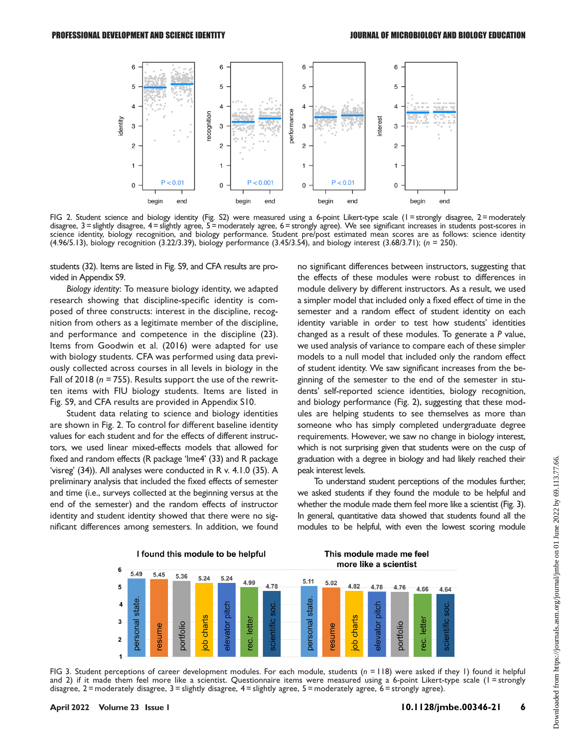

<span id="page-5-0"></span>FIG 2. Student science and biology identity (Fig. S2) were measured using a 6-point Likert-type scale (I = strongly disagree, 2 = moderately disagree, 3 = slightly disagree, 4 = slightly agree, 5 = moderately agree, 6 = strongly agree). We see significant increases in students post-scores in science identity, biology recognition, and biology performance. Student pre/post estimated mean scores are as follows: science identity (4.96/5.13), biology recognition (3.22/3.39), biology performance (3.45/3.54), and biology interest (3.68/3.71); (n = 250).

students [\(32\)](#page-7-15). Items are listed in Fig. S9, and CFA results are provided in Appendix S9.

Biology identity: To measure biology identity, we adapted research showing that discipline-specific identity is composed of three constructs: interest in the discipline, recognition from others as a legitimate member of the discipline, and performance and competence in the discipline [\(23](#page-7-6)). Items from Goodwin et al. (2016) were adapted for use with biology students. CFA was performed using data previously collected across courses in all levels in biology in the Fall of 2018 ( $n = 755$ ). Results support the use of the rewritten items with FIU biology students. Items are listed in Fig. S9, and CFA results are provided in Appendix S10.

Student data relating to science and biology identities are shown in [Fig. 2.](#page-5-0) To control for different baseline identity values for each student and for the effects of different instructors, we used linear mixed-effects models that allowed for fixed and random effects (R package 'lme4' [\(33\)](#page-7-16) and R package 'visreg' [\(34\)](#page-7-17)). All analyses were conducted in R v. 4.1.0 ([35](#page-7-18)). A preliminary analysis that included the fixed effects of semester and time (i.e., surveys collected at the beginning versus at the end of the semester) and the random effects of instructor identity and student identity showed that there were no significant differences among semesters. In addition, we found

no significant differences between instructors, suggesting that the effects of these modules were robust to differences in module delivery by different instructors. As a result, we used a simpler model that included only a fixed effect of time in the semester and a random effect of student identity on each identity variable in order to test how students' identities changed as a result of these modules. To generate a P value, we used analysis of variance to compare each of these simpler models to a null model that included only the random effect of student identity. We saw significant increases from the beginning of the semester to the end of the semester in students' self-reported science identities, biology recognition, and biology performance ([Fig. 2\)](#page-5-0), suggesting that these modules are helping students to see themselves as more than someone who has simply completed undergraduate degree requirements. However, we saw no change in biology interest, which is not surprising given that students were on the cusp of graduation with a degree in biology and had likely reached their peak interest levels.

To understand student perceptions of the modules further, we asked students if they found the module to be helpful and whether the module made them feel more like a scientist [\(Fig. 3\)](#page-5-1). In general, quantitative data showed that students found all the modules to be helpful, with even the lowest scoring module



<span id="page-5-1"></span>FIG 3. Student perceptions of career development modules. For each module, students  $(n = 118)$  were asked if they 1) found it helpful and 2) if it made them feel more like a scientist. Questionnaire items were measured using a 6-point Likert-type scale (1 = strongly disagree, 2 = moderately disagree, 3 = slightly disagree, 4 = slightly agree, 5 = moderately agree, 6 = strongly agree).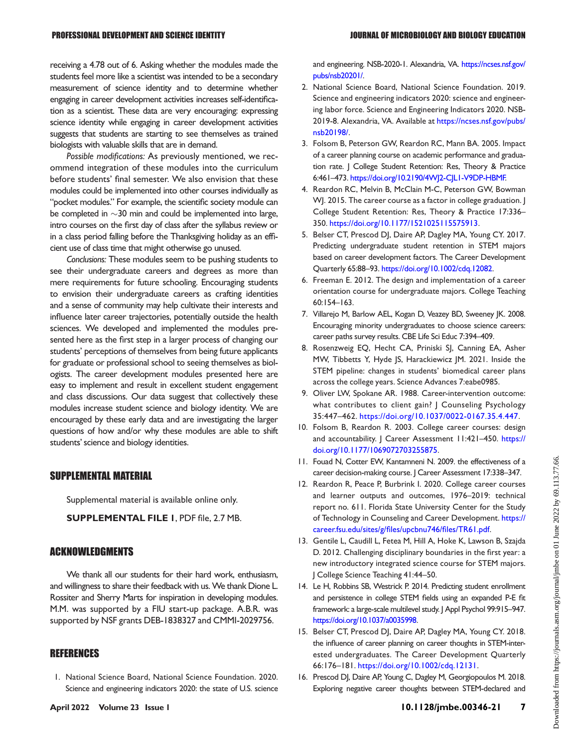receiving a 4.78 out of 6. Asking whether the modules made the students feel more like a scientist was intended to be a secondary measurement of science identity and to determine whether engaging in career development activities increases self-identification as a scientist. These data are very encouraging: expressing science identity while engaging in career development activities suggests that students are starting to see themselves as trained biologists with valuable skills that are in demand.

Possible modifications: As previously mentioned, we recommend integration of these modules into the curriculum before students' final semester. We also envision that these modules could be implemented into other courses individually as "pocket modules." For example, the scientific society module can be completed in  $\sim$ 30 min and could be implemented into large, intro courses on the first day of class after the syllabus review or in a class period falling before the Thanksgiving holiday as an efficient use of class time that might otherwise go unused.

Conclusions: These modules seem to be pushing students to see their undergraduate careers and degrees as more than mere requirements for future schooling. Encouraging students to envision their undergraduate careers as crafting identities and a sense of community may help cultivate their interests and influence later career trajectories, potentially outside the health sciences. We developed and implemented the modules presented here as the first step in a larger process of changing our students' perceptions of themselves from being future applicants for graduate or professional school to seeing themselves as biologists. The career development modules presented here are easy to implement and result in excellent student engagement and class discussions. Our data suggest that collectively these modules increase student science and biology identity. We are encouraged by these early data and are investigating the larger questions of how and/or why these modules are able to shift students' science and biology identities.

# SUPPLEMENTAL MATERIAL

Supplemental material is available online only.

SUPPLEMENTAL FILE 1, PDF file, 2.7 MB.

## ACKNOWLEDGMENTS

We thank all our students for their hard work, enthusiasm, and willingness to share their feedback with us. We thank Dione L. Rossiter and Sherry Marts for inspiration in developing modules. M.M. was supported by a FIU start-up package. A.B.R. was supported by NSF grants DEB-1838327 and CMMI-2029756.

# **REFERENCES**

<span id="page-6-0"></span>1. National Science Board, National Science Foundation. 2020. Science and engineering indicators 2020: the state of U.S. science and engineering. NSB-2020-1. Alexandria, VA. [https://ncses.nsf.gov/](https://ncses.nsf.gov/pubs/nsb20201/) [pubs/nsb20201/](https://ncses.nsf.gov/pubs/nsb20201/).

- <span id="page-6-1"></span>2. National Science Board, National Science Foundation. 2019. Science and engineering indicators 2020: science and engineering labor force. Science and Engineering Indicators 2020. NSB-2019-8. Alexandria, VA. Available at [https://ncses.nsf.gov/pubs/](https://ncses.nsf.gov/pubs/nsb20198/) [nsb20198/](https://ncses.nsf.gov/pubs/nsb20198/).
- <span id="page-6-2"></span>3. Folsom B, Peterson GW, Reardon RC, Mann BA. 2005. Impact of a career planning course on academic performance and graduation rate. J College Student Retention: Res, Theory & Practice 6:461–473. [https://doi.org/10.2190/4WJ2-CJL1-V9DP-HBMF.](https://doi.org/10.2190/4WJ2-CJL1-V9DP-HBMF)
- <span id="page-6-3"></span>4. Reardon RC, Melvin B, McClain M-C, Peterson GW, Bowman WJ. 2015. The career course as a factor in college graduation. J College Student Retention: Res, Theory & Practice 17:336– 350. [https://doi.org/10.1177/1521025115575913.](https://doi.org/10.1177/1521025115575913)
- <span id="page-6-4"></span>5. Belser CT, Prescod DJ, Daire AP, Dagley MA, Young CY. 2017. Predicting undergraduate student retention in STEM majors based on career development factors. The Career Development Quarterly 65:88–93. [https://doi.org/10.1002/cdq.12082.](https://doi.org/10.1002/cdq.12082)
- <span id="page-6-5"></span>6. Freeman E. 2012. The design and implementation of a career orientation course for undergraduate majors. College Teaching 60:154–163.
- <span id="page-6-6"></span>7. Villarejo M, Barlow AEL, Kogan D, Veazey BD, Sweeney JK. 2008. Encouraging minority undergraduates to choose science careers: career paths survey results. CBE Life Sci Educ 7:394–409.
- <span id="page-6-7"></span>8. Rosenzweig EQ, Hecht CA, Priniski SJ, Canning EA, Asher MW, Tibbetts Y, Hyde JS, Harackiewicz JM. 2021. Inside the STEM pipeline: changes in students' biomedical career plans across the college years. Science Advances 7:eabe0985.
- <span id="page-6-8"></span>9. Oliver LW, Spokane AR. 1988. Career-intervention outcome: what contributes to client gain? J Counseling Psychology 35:447–462. <https://doi.org/10.1037/0022-0167.35.4.447>.
- <span id="page-6-9"></span>10. Folsom B, Reardon R. 2003. College career courses: design and accountability. J Career Assessment 11:421–450. [https://](https://doi.org/10.1177/1069072703255875) [doi.org/10.1177/1069072703255875.](https://doi.org/10.1177/1069072703255875)
- <span id="page-6-10"></span>11. Fouad N, Cotter EW, Kantamneni N. 2009. the effectiveness of a career decision-making course. J Career Assessment 17:338–347.
- <span id="page-6-11"></span>12. Reardon R, Peace P, Burbrink I. 2020. College career courses and learner outputs and outcomes, 1976–2019: technical report no. 611. Florida State University Center for the Study of Technology in Counseling and Career Development. [https://](https://career.fsu.edu/sites/g/files/upcbnu746/files/TR61.pdf) [career.fsu.edu/sites/g/](https://career.fsu.edu/sites/g/files/upcbnu746/files/TR61.pdf)files/upcbnu746/files/TR61.pdf.
- <span id="page-6-12"></span>13. Gentile L, Caudill L, Fetea M, Hill A, Hoke K, Lawson B, Szajda D. 2012. Challenging disciplinary boundaries in the first year: a new introductory integrated science course for STEM majors. J College Science Teaching 41:44–50.
- <span id="page-6-13"></span>14. Le H, Robbins SB, Westrick P. 2014. Predicting student enrollment and persistence in college STEM fields using an expanded P-E fit framework: a large-scale multilevel study. J Appl Psychol 99:915–947. <https://doi.org/10.1037/a0035998>.
- <span id="page-6-14"></span>15. Belser CT, Prescod DJ, Daire AP, Dagley MA, Young CY. 2018. the influence of career planning on career thoughts in STEM-interested undergraduates. The Career Development Quarterly 66:176–181. <https://doi.org/10.1002/cdq.12131>.
- <span id="page-6-15"></span>16. Prescod DJ, Daire AP, Young C, Dagley M, Georgiopoulos M. 2018. Exploring negative career thoughts between STEM-declared and